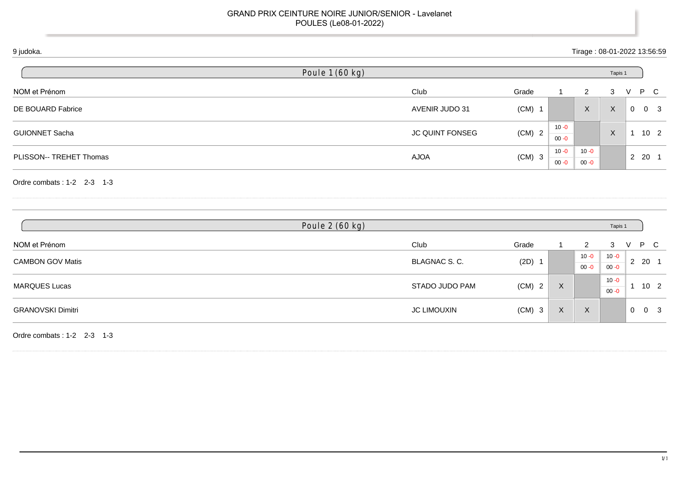| 9 judoka.                  |                 |                        |            |                          | Tirage: 08-01-2022 13:56:59 |              |                |                 |
|----------------------------|-----------------|------------------------|------------|--------------------------|-----------------------------|--------------|----------------|-----------------|
|                            | Poule 1 (60 kg) |                        |            |                          |                             | Tapis 1      |                |                 |
| NOM et Prénom              |                 | Club                   | Grade      | $\overline{\phantom{a}}$ | $\overline{2}$              | 3            | V              | P C             |
| DE BOUARD Fabrice          |                 | AVENIR JUDO 31         | $(CM)$ 1   |                          | $\mathsf{X}$                | $\mathsf{X}$ | $\overline{0}$ | 0 <sup>3</sup>  |
| <b>GUIONNET Sacha</b>      |                 | <b>JC QUINT FONSEG</b> | $(CM)$ 2   | $10 - 0$<br>$00 - 0$     |                             | X            |                | 10 <sub>2</sub> |
| PLISSON-- TREHET Thomas    |                 | <b>AJOA</b>            | $(CM)$ 3   | $10 - 0$                 | $10 - 0$                    |              |                | 2 20 1          |
| Ordre combats: 1-2 2-3 1-3 |                 |                        |            | $00 - 0$                 | $00 - 0$                    |              |                |                 |
|                            | Poule 2 (60 kg) |                        |            |                          |                             | Tapis 1      |                |                 |
| NOM et Prénom              |                 | Club                   | Grade      |                          | $\overline{2}$              | 3            | $\vee$         | P C             |
| $C$ AMPONLCOV/Motio        |                 | DIACNIAC C             | $(2D)$ $4$ |                          | $10 - 0$                    | $10 - 0$     |                | 2 20 1          |

| <b>CAMBON GOV Matis</b>  | BLAGNAC S. C.      |          |   |                         |          | 2      | -20                 |
|--------------------------|--------------------|----------|---|-------------------------|----------|--------|---------------------|
|                          |                    | (2D)     |   | $00 - 0$                | $00 - 0$ | $\sim$ |                     |
| MARQUES Lucas            | STADO JUDO PAM     | $(CM)$ 2 | X |                         | $10 - 0$ |        | 10 <sub>2</sub>     |
|                          |                    |          |   |                         | $00 - 0$ |        |                     |
| <b>GRANOVSKI Dimitri</b> | <b>JC LIMOUXIN</b> | $(CM)$ 3 | X | $\sqrt{ }$<br>$\Lambda$ |          |        | $0 \quad 0 \quad 3$ |
|                          |                    |          |   |                         |          |        |                     |

Ordre combats : 1-2 2-3 1-3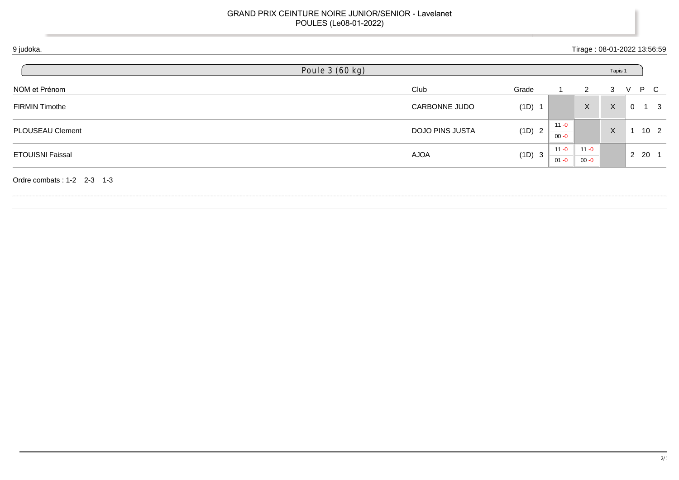| 9 judoka.               | Poule 3 (60 kg)        |          |                      |                           | Tapis 1      | Tirage: 08-01-2022 13:56:59 |
|-------------------------|------------------------|----------|----------------------|---------------------------|--------------|-----------------------------|
| NOM et Prénom           | Club                   | Grade    |                      | $\overline{2}$            | 3            | P C<br>$\vee$               |
| FIRMIN Timothe          | CARBONNE JUDO          | $(1D)$ 1 |                      | $\boldsymbol{\mathsf{X}}$ | $\mathsf{X}$ | $\mathbf 0$<br>$1 \quad 3$  |
| PLOUSEAU Clement        | <b>DOJO PINS JUSTA</b> | (1D) 2   | $11 - 0$<br>$00 - 0$ |                           | $\times$     | 10 <sub>2</sub>             |
| <b>ETOUISNI Faissal</b> | AJOA                   | (1D) 3   | $11 - 0$             | $11 - 0$                  |              | $2 \quad 20 \quad 1$        |
|                         |                        |          | $01 - 0$             | $00 - 0$                  |              |                             |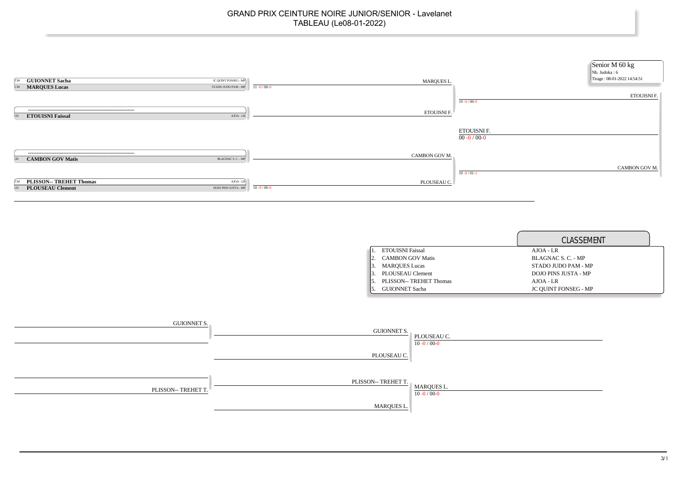| <b>GUIONNET Sacha</b><br>JC QUINT FONSEG - MP<br>ſСM<br><b>MARQUES Lucas</b><br>STADO JUDO PAM - MP<br>CM     | MARQUES L.<br>$11 - 0 / 00 - 0$  | Senior M 60 kg<br>Nb. Judoka: 6<br>Tirage: 08-01-2022 14:54:51 |
|---------------------------------------------------------------------------------------------------------------|----------------------------------|----------------------------------------------------------------|
|                                                                                                               |                                  | <b>ETOUISNI F.</b><br>$10 - 0 / 00 - 0$                        |
| <b>ETOUISNI Faissal</b><br>AJOA - LR                                                                          | ETOUISNI F.                      |                                                                |
|                                                                                                               |                                  | ETOUISNI F.<br>$00 - 0 / 00 - 0$                               |
| <b>CAMBON GOV Matis</b><br>BLAGNAC S. C. - MP<br>2D                                                           | CAMBON GOV M.                    |                                                                |
|                                                                                                               |                                  | CAMBON GOV M.<br>$10 - 0/01 - 1$                               |
| <b>PLISSON-- TREHET Thomas</b><br>$AJOA - LR$<br>ÍСM<br><b>PLOUSEAU Clement</b><br>DOJO PINS JUSTA - MP<br>HЕ | PLOUSEAU C.<br>$10 - 0 / 00 - 0$ |                                                                |

|                         | CLASSEMENT                  |
|-------------------------|-----------------------------|
| <b>ETOUISNI Faissal</b> | $AJOA - LR$                 |
| <b>CAMBON GOV Matis</b> | BLAGNAC S. C. - MP          |
| <b>MARQUES Lucas</b>    | STADO JUDO PAM - MP         |
| PLOUSEAU Clement        | DOJO PINS JUSTA - MP        |
| PLISSON-- TREHET Thomas | $AJOA - LR$                 |
| <b>GUIONNET Sacha</b>   | <b>JC OUINT FONSEG - MP</b> |

| GUIONNET S.         | <b>GUIONNET S.</b>  | PLOUSEAU C.<br>$10 - 0 / 00 - 0$ |
|---------------------|---------------------|----------------------------------|
|                     | PLOUSEAU C.         |                                  |
| PLISSON-- TREHET T. | PLISSON-- TREHET T. | MARQUES L.<br>$10 - 0 / 00 - 0$  |
|                     | MARQUES L.          |                                  |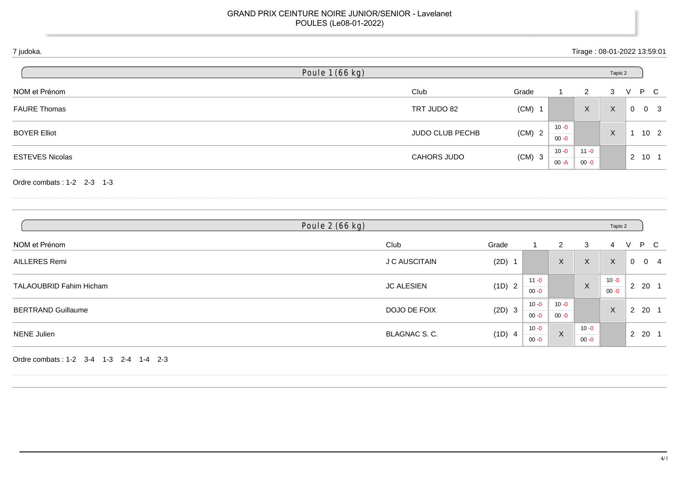|                        | Poule 1 (66 kg) |                        |          |                      |          | Tapis 2 |                |                 |
|------------------------|-----------------|------------------------|----------|----------------------|----------|---------|----------------|-----------------|
| NOM et Prénom          |                 | Club                   | Grade    |                      | 2        | 3       | V              | P C             |
| <b>FAURE Thomas</b>    |                 | TRT JUDO 82            | $(CM)$ 1 |                      | X        | X       | $\overline{0}$ | 0 <sup>3</sup>  |
| <b>BOYER Elliot</b>    |                 | <b>JUDO CLUB PECHB</b> | $(CM)$ 2 | $10 - 0$<br>$00 - 0$ |          | X       |                | 10 <sub>2</sub> |
| <b>ESTEVES Nicolas</b> |                 |                        |          | $10 - 0$             | $11 - 0$ |         |                |                 |
|                        |                 | <b>CAHORS JUDO</b>     | $(CM)$ 3 | $00 - A$             | $00 - 0$ |         |                | 2 10 1          |

| Poule 2 (66 kg)                |                   |          |                      |                      | Tapis 2              |                      |                |                       |  |
|--------------------------------|-------------------|----------|----------------------|----------------------|----------------------|----------------------|----------------|-----------------------|--|
| NOM et Prénom                  | Club              | Grade    |                      | 2                    | 3                    | 4                    | V              | P.<br>- C             |  |
| AILLERES Remi                  | J C AUSCITAIN     | $(2D)$ 1 |                      | $\mathsf X$          | X                    | $\sf X$              | $\mathbf{0}$   | 0<br>$\overline{4}$   |  |
| <b>TALAOUBRID Fahim Hicham</b> | <b>JC ALESIEN</b> | (1D) 2   | $11 - 0$<br>$00 - 0$ |                      | X                    | $10 - 0$<br>$00 - 0$ |                | $2\ 20\ 1$            |  |
| <b>BERTRAND Guillaume</b>      | DOJO DE FOIX      | (2D) 3   | 10 - 0<br>$00 - 0$   | $10 - 0$<br>$00 - 0$ |                      | X                    | $\overline{2}$ | 20 1                  |  |
| <b>NENE Julien</b>             | BLAGNAC S.C.      | (1D) 4   | $10 - 0$<br>$00 - 0$ | X                    | $10 - 0$<br>$00 - 0$ |                      | $\overline{2}$ | -20<br>$\overline{1}$ |  |

Ordre combats : 1-2 3-4 1-3 2-4 1-4 2-3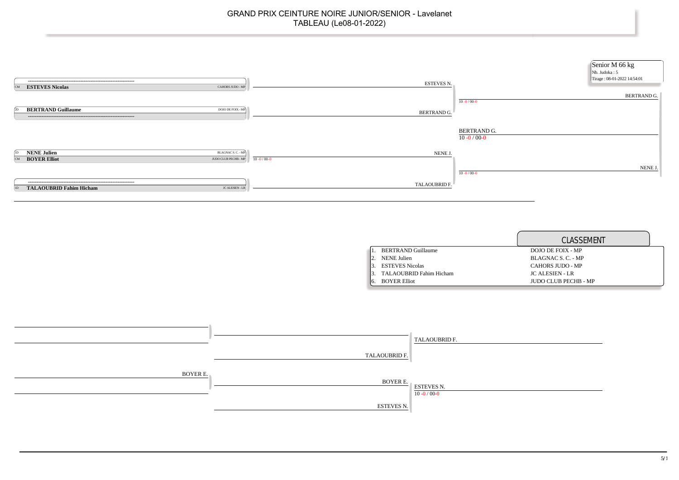

|                                | CLASSEMENT                  |
|--------------------------------|-----------------------------|
| <b>BERTRAND Guillaume</b>      | DOJO DE FOIX - MP           |
| NENE Julien                    | BLAGNAC S. C. - MP          |
| <b>ESTEVES Nicolas</b>         | CAHORS JUDO - MP            |
| <b>TALAOUBRID Fahim Hicham</b> | <b>JC ALESIEN - LR</b>      |
| <b>BOYER Elliot</b>            | <b>IUDO CLUB PECHB - MP</b> |

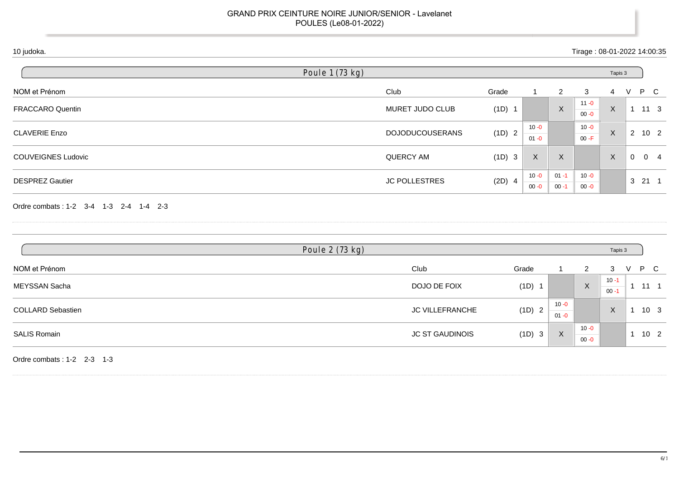|                                                                          | Poule 1 (73 kg) |                        |          |                      |                      |                      | Tapis 3              |                |                             |
|--------------------------------------------------------------------------|-----------------|------------------------|----------|----------------------|----------------------|----------------------|----------------------|----------------|-----------------------------|
| NOM et Prénom                                                            |                 | Club                   | Grade    | 1                    | $\overline{2}$       | 3                    | $\overline{4}$       | V              | $\mathsf{P}$<br>$\mathbf C$ |
| FRACCARO Quentin                                                         |                 | MURET JUDO CLUB        | (1D) 1   |                      | $\mathsf X$          | $11 - 0$<br>$00 - 0$ | $\boldsymbol{X}$     |                | $1 11 3$                    |
| <b>CLAVERIE Enzo</b>                                                     |                 | <b>DOJODUCOUSERANS</b> | (1D) 2   | $10 - 0$<br>$01 - 0$ |                      | $10 - 0$<br>$00 - F$ | $\mathsf{X}$         |                | $2 \quad 10 \quad 2$        |
| <b>COUVEIGNES Ludovic</b>                                                |                 | <b>QUERCY AM</b>       | (1D) 3   | $\mathsf X$          | X                    |                      | $\mathsf{X}$         | $\overline{0}$ | $0 \quad 4$                 |
| <b>DESPREZ Gautier</b>                                                   |                 | <b>JC POLLESTRES</b>   | $(2D)$ 4 | $10 - 0$<br>$00 - 0$ | $01 - 1$<br>$00 - 1$ | $10 - 0$<br>$00 - 0$ |                      |                | $3 \quad 21 \quad 1$        |
|                                                                          |                 |                        |          |                      |                      |                      |                      |                |                             |
|                                                                          |                 |                        |          |                      |                      |                      |                      |                |                             |
|                                                                          | Poule 2 (73 kg) |                        |          |                      |                      |                      | Tapis 3              |                |                             |
|                                                                          |                 | Club                   |          | Grade                |                      | $\overline{2}$       | 3                    | $\vee$         | P<br>$\overline{C}$         |
| Ordre combats: 1-2 3-4 1-3 2-4 1-4 2-3<br>NOM et Prénom<br>MEYSSAN Sacha |                 | DOJO DE FOIX           |          | (1D) 1               |                      | $\mathsf{X}$         | $10 - 1$<br>$00 - 1$ |                | $1 \quad 11 \quad 1$        |
| <b>COLLARD Sebastien</b>                                                 |                 | JC VILLEFRANCHE        |          | (1D) 2               | $10 - 0$<br>$01 - 0$ |                      | $\mathsf{X}$         |                | $1 10 3$                    |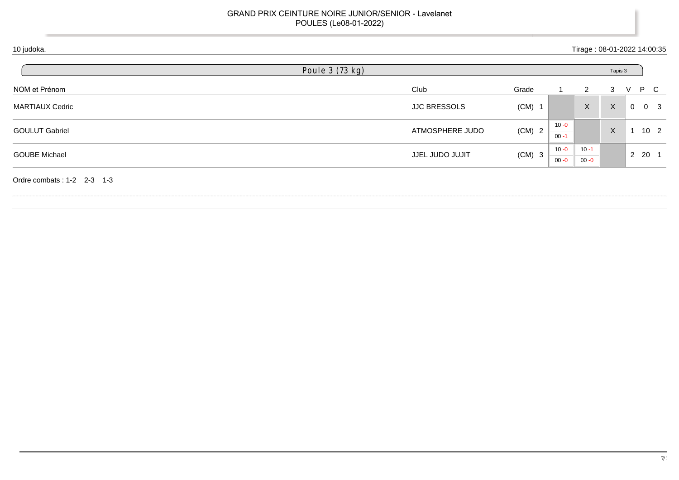| 10 judoka.                 |                     |          |                      |                      |              |                | Tirage: 08-01-2022 14:00:35 |
|----------------------------|---------------------|----------|----------------------|----------------------|--------------|----------------|-----------------------------|
|                            | Poule 3 (73 kg)     |          |                      |                      | Tapis 3      |                |                             |
| NOM et Prénom              | Club                | Grade    |                      | $\overline{2}$       | 3            | V              | P C                         |
| <b>MARTIAUX Cedric</b>     | <b>JJC BRESSOLS</b> | $(CM)$ 1 |                      | $\mathsf{X}$         | $\mathsf{X}$ | $\overline{0}$ | 0 <sup>3</sup>              |
| <b>GOULUT Gabriel</b>      | ATMOSPHERE JUDO     | $(CM)$ 2 | $10 - 0$<br>$00 - 1$ |                      | $\times$     |                | 10 <sub>2</sub>             |
| <b>GOUBE Michael</b>       | JJEL JUDO JUJIT     | $(CM)$ 3 | $10 - 0$<br>$00 - 0$ | $10 - 1$<br>$00 - 0$ |              |                | 2 20 1                      |
| Ordre combats: 1-2 2-3 1-3 |                     |          |                      |                      |              |                |                             |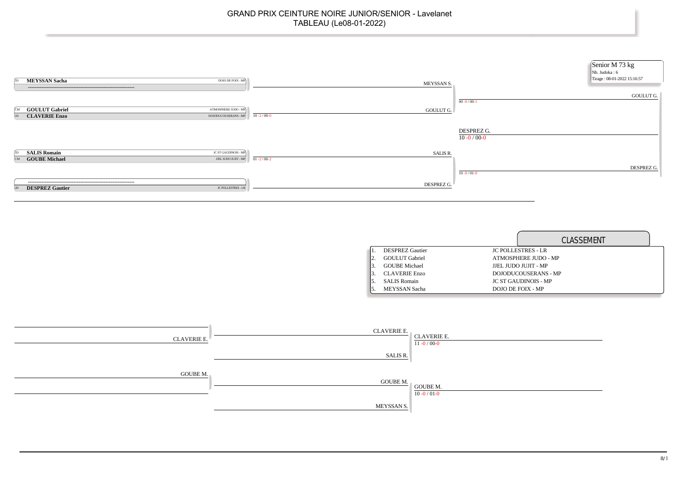

|                        | CLASSEMENT                  |
|------------------------|-----------------------------|
| <b>DESPREZ Gautier</b> | <b>JC POLLESTRES - LR</b>   |
| <b>GOULUT</b> Gabriel  | ATMOSPHERE JUDO - MP        |
| <b>GOUBE Michael</b>   | JJEL JUDO JUJIT - MP        |
| <b>CLAVERIE Enzo</b>   | DOJODUCOUSERANS - MP        |
| <b>SALIS Romain</b>    | <b>JC ST GAUDINOIS - MP</b> |
| <b>MEYSSAN</b> Sacha   | DOJO DE FOIX - MP           |

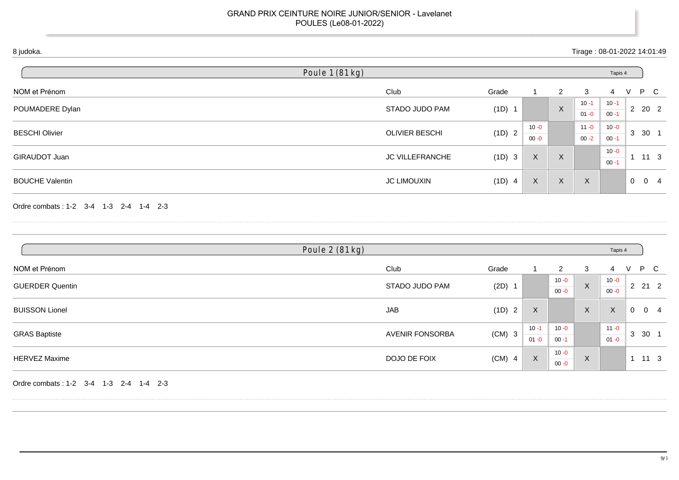| 8 judoka.                              |                       |          |                      |                      |                           | Tirage: 08-01-2022 14:01:49 |                |                              |
|----------------------------------------|-----------------------|----------|----------------------|----------------------|---------------------------|-----------------------------|----------------|------------------------------|
|                                        | Poule 1 (81 kg)       |          |                      |                      |                           | Tapis 4                     |                |                              |
| NOM et Prénom                          | Club                  | Grade    | 1                    | $\overline{c}$       | 3                         | $\overline{4}$              | V              | $\mathsf{P}$<br>$\mathsf{C}$ |
| POUMADERE Dylan                        | STADO JUDO PAM        | (1D) 1   |                      | $\mathsf X$          | $10 - 1$<br>$01 - 0$      | $10 - 1$<br>$00 - 1$        |                | 2 20 2                       |
| <b>BESCHI Olivier</b>                  | <b>OLIVIER BESCHI</b> | (1D) 2   | $10 - 0$<br>$00 - 0$ |                      | $11 - 0$<br>$00 - 2$      | $10 - 0$<br>$00 - 1$        |                | 3 30 1                       |
| GIRAUDOT Juan                          | JC VILLEFRANCHE       | (1D) 3   | $\mathsf{X}$         | X                    |                           | $10 - 0$<br>$00 - 1$        |                | $1 \quad 11 \quad 3$         |
| <b>BOUCHE Valentin</b>                 | <b>JC LIMOUXIN</b>    | (1D) 4   | $\mathsf X$          | $\mathsf{X}$         | $\boldsymbol{X}$          |                             | $\overline{0}$ | $0\quad 4$                   |
| Ordre combats: 1-2 3-4 1-3 2-4 1-4 2-3 | Poule 2 (81 kg)       |          |                      |                      |                           | Tapis 4                     |                |                              |
| NOM et Prénom                          | Club                  | Grade    | $\mathbf{1}$         | $\overline{2}$       | 3                         | 4                           | V              | $\mathsf{P}$<br>$\mathbf C$  |
| <b>GUERDER Quentin</b>                 | STADO JUDO PAM        | $(2D)$ 1 |                      | $10 - 0$<br>$00 - 0$ | $\mathsf X$               | $10 - 0$<br>$00 - 0$        |                | $2 \quad 21 \quad 2$         |
| <b>BUISSON Lionel</b>                  | <b>JAB</b>            | (1D) 2   | $\mathsf{X}$         |                      | $\mathsf X$               | $\boldsymbol{\mathsf{X}}$   |                | $0 \quad 0 \quad 4$          |
| <b>GRAS Baptiste</b>                   | AVENIR FONSORBA       | $(CM)$ 3 | $10 - 1$<br>$01 - 0$ | $10 - 0$<br>$00 - 1$ |                           | $11 - 0$<br>$01 - 0$        |                | 3 30 1                       |
| <b>HERVEZ Maxime</b>                   | DOJO DE FOIX          | $(CM)$ 4 | X                    | $10 - 0$<br>$00 - 0$ | $\boldsymbol{\mathsf{X}}$ |                             |                | $1 11 3$                     |

Ordre combats : 1-2 3-4 1-3 2-4 1-4 2-3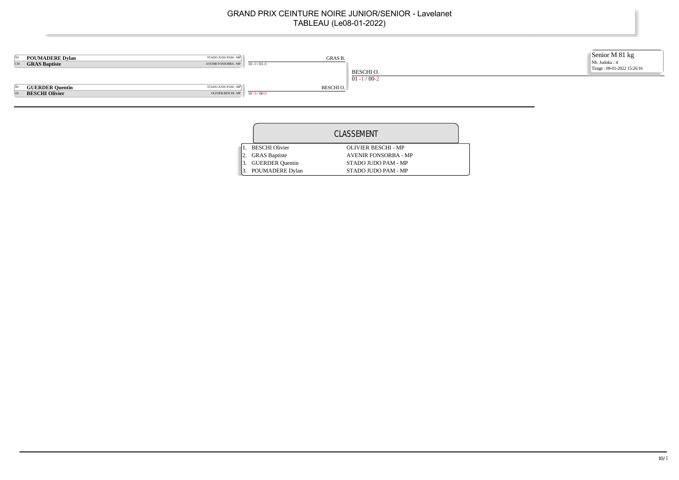

| CLASSEMENT             |                             |  |  |  |
|------------------------|-----------------------------|--|--|--|
| <b>BESCHI</b> Olivier  | OLIVIER BESCHI - MP         |  |  |  |
| <b>GRAS</b> Baptiste   | <b>AVENIR FONSORBA - MP</b> |  |  |  |
| <b>GUERDER Quentin</b> | STADO JUDO PAM - MP         |  |  |  |
| POUMADERE Dylan        | STADO JUDO PAM - MP         |  |  |  |